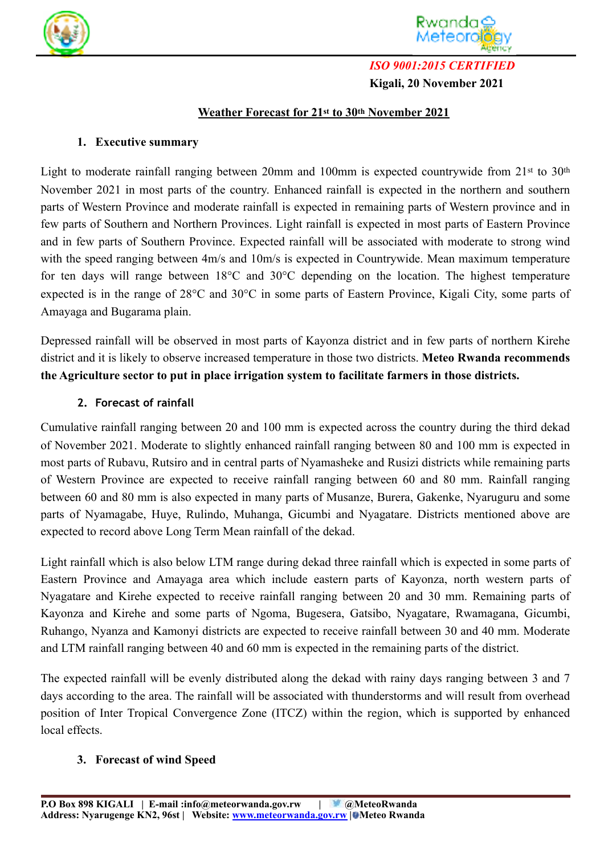



# *ISO 9001:2015 CERTIFIED*  **Kigali, 20 November 2021**

## **Weather Forecast for 21st to 30th November 2021**

### **1. Executive summary**

Light to moderate rainfall ranging between 20mm and 100mm is expected countrywide from 21st to 30<sup>th</sup> November 2021 in most parts of the country. Enhanced rainfall is expected in the northern and southern parts of Western Province and moderate rainfall is expected in remaining parts of Western province and in few parts of Southern and Northern Provinces. Light rainfall is expected in most parts of Eastern Province and in few parts of Southern Province. Expected rainfall will be associated with moderate to strong wind with the speed ranging between 4m/s and 10m/s is expected in Countrywide. Mean maximum temperature for ten days will range between 18°C and 30°C depending on the location. The highest temperature expected is in the range of 28°C and 30°C in some parts of Eastern Province, Kigali City, some parts of Amayaga and Bugarama plain.

Depressed rainfall will be observed in most parts of Kayonza district and in few parts of northern Kirehe district and it is likely to observe increased temperature in those two districts. **Meteo Rwanda recommends the Agriculture sector to put in place irrigation system to facilitate farmers in those districts.** 

### **2. Forecast of rainfall**

Cumulative rainfall ranging between 20 and 100 mm is expected across the country during the third dekad of November 2021. Moderate to slightly enhanced rainfall ranging between 80 and 100 mm is expected in most parts of Rubavu, Rutsiro and in central parts of Nyamasheke and Rusizi districts while remaining parts of Western Province are expected to receive rainfall ranging between 60 and 80 mm. Rainfall ranging between 60 and 80 mm is also expected in many parts of Musanze, Burera, Gakenke, Nyaruguru and some parts of Nyamagabe, Huye, Rulindo, Muhanga, Gicumbi and Nyagatare. Districts mentioned above are expected to record above Long Term Mean rainfall of the dekad.

Light rainfall which is also below LTM range during dekad three rainfall which is expected in some parts of Eastern Province and Amayaga area which include eastern parts of Kayonza, north western parts of Nyagatare and Kirehe expected to receive rainfall ranging between 20 and 30 mm. Remaining parts of Kayonza and Kirehe and some parts of Ngoma, Bugesera, Gatsibo, Nyagatare, Rwamagana, Gicumbi, Ruhango, Nyanza and Kamonyi districts are expected to receive rainfall between 30 and 40 mm. Moderate and LTM rainfall ranging between 40 and 60 mm is expected in the remaining parts of the district.

The expected rainfall will be evenly distributed along the dekad with rainy days ranging between 3 and 7 days according to the area. The rainfall will be associated with thunderstorms and will result from overhead position of Inter Tropical Convergence Zone (ITCZ) within the region, which is supported by enhanced local effects.

## **3. Forecast of wind Speed**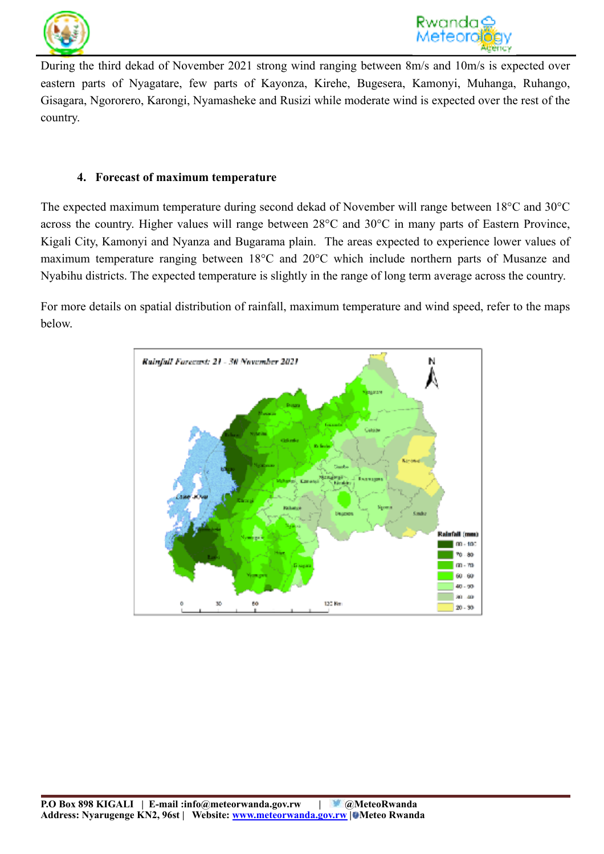



During the third dekad of November 2021 strong wind ranging between 8m/s and 10m/s is expected over eastern parts of Nyagatare, few parts of Kayonza, Kirehe, Bugesera, Kamonyi, Muhanga, Ruhango, Gisagara, Ngororero, Karongi, Nyamasheke and Rusizi while moderate wind is expected over the rest of the country.

#### **4. Forecast of maximum temperature**

The expected maximum temperature during second dekad of November will range between 18°C and 30°C across the country. Higher values will range between 28°C and 30°C in many parts of Eastern Province, Kigali City, Kamonyi and Nyanza and Bugarama plain. The areas expected to experience lower values of maximum temperature ranging between 18°C and 20°C which include northern parts of Musanze and Nyabihu districts. The expected temperature is slightly in the range of long term average across the country.

For more details on spatial distribution of rainfall, maximum temperature and wind speed, refer to the maps below.